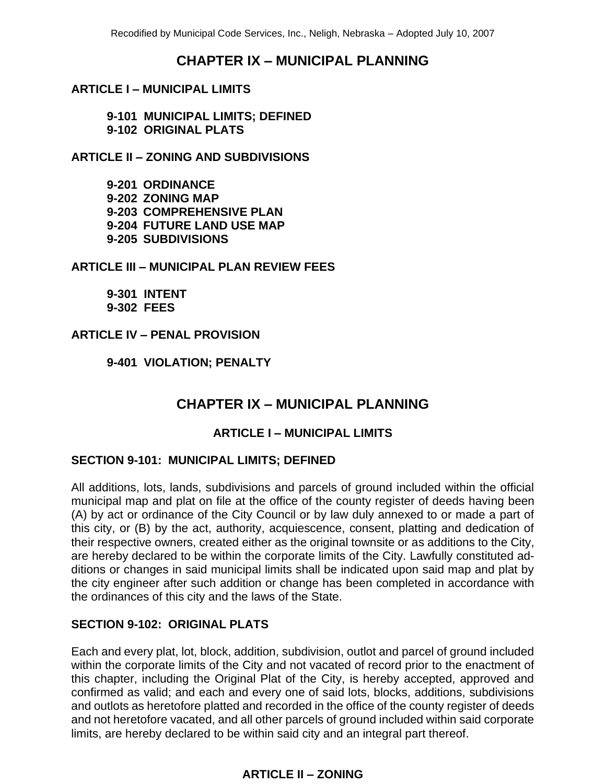# **CHAPTER IX ‒ MUNICIPAL PLANNING**

# **ARTICLE I ‒ MUNICIPAL LIMITS**

**9-101 MUNICIPAL LIMITS; DEFINED 9-102 ORIGINAL PLATS**

**ARTICLE II – ZONING AND SUBDIVISIONS**

**9-201 ORDINANCE 9-202 ZONING MAP 9-203 COMPREHENSIVE PLAN 9-204 FUTURE LAND USE MAP 9-205 SUBDIVISIONS**

**ARTICLE III ‒ MUNICIPAL PLAN REVIEW FEES**

**9-301 INTENT 9-302 FEES**

**ARTICLE IV ‒ PENAL PROVISION**

**9-401 VIOLATION; PENALTY**

# **CHAPTER IX ‒ MUNICIPAL PLANNING**

# **ARTICLE I ‒ MUNICIPAL LIMITS**

#### **SECTION 9-101: MUNICIPAL LIMITS; DEFINED**

All additions, lots, lands, subdivisions and parcels of ground included within the official municipal map and plat on file at the office of the county register of deeds having been (A) by act or ordinance of the City Council or by law duly annexed to or made a part of this city, or (B) by the act, authority, acquiescence, consent, platting and dedication of their respective owners, created either as the original townsite or as additions to the City, are hereby declared to be within the corporate limits of the City. Lawfully constituted additions or changes in said municipal limits shall be indicated upon said map and plat by the city engineer after such addition or change has been completed in accordance with the ordinances of this city and the laws of the State.

#### **SECTION 9-102: ORIGINAL PLATS**

Each and every plat, lot, block, addition, subdivision, outlot and parcel of ground included within the corporate limits of the City and not vacated of record prior to the enactment of this chapter, including the Original Plat of the City, is hereby accepted, approved and confirmed as valid; and each and every one of said lots, blocks, additions, subdivisions and outlots as heretofore platted and recorded in the office of the county register of deeds and not heretofore vacated, and all other parcels of ground included within said corporate limits, are hereby declared to be within said city and an integral part thereof.

# **ARTICLE II – ZONING**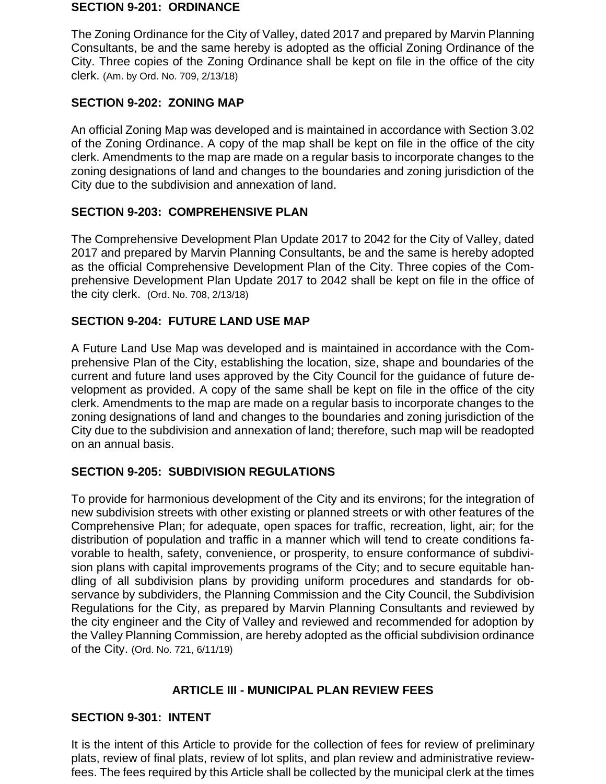#### **SECTION 9-201: ORDINANCE**

The Zoning Ordinance for the City of Valley, dated 2017 and prepared by Marvin Planning Consultants, be and the same hereby is adopted as the official Zoning Ordinance of the City. Three copies of the Zoning Ordinance shall be kept on file in the office of the city clerk. (Am. by Ord. No. 709, 2/13/18)

# **SECTION 9-202: ZONING MAP**

An official Zoning Map was developed and is maintained in accordance with Section 3.02 of the Zoning Ordinance. A copy of the map shall be kept on file in the office of the city clerk. Amendments to the map are made on a regular basis to incorporate changes to the zoning designations of land and changes to the boundaries and zoning jurisdiction of the City due to the subdivision and annexation of land.

# **SECTION 9-203: COMPREHENSIVE PLAN**

The Comprehensive Development Plan Update 2017 to 2042 for the City of Valley, dated 2017 and prepared by Marvin Planning Consultants, be and the same is hereby adopted as the official Comprehensive Development Plan of the City. Three copies of the Comprehensive Development Plan Update 2017 to 2042 shall be kept on file in the office of the city clerk. (Ord. No. 708, 2/13/18)

# **SECTION 9-204: FUTURE LAND USE MAP**

A Future Land Use Map was developed and is maintained in accordance with the Comprehensive Plan of the City, establishing the location, size, shape and boundaries of the current and future land uses approved by the City Council for the guidance of future development as provided. A copy of the same shall be kept on file in the office of the city clerk. Amendments to the map are made on a regular basis to incorporate changes to the zoning designations of land and changes to the boundaries and zoning jurisdiction of the City due to the subdivision and annexation of land; therefore, such map will be readopted on an annual basis.

# **SECTION 9-205: SUBDIVISION REGULATIONS**

To provide for harmonious development of the City and its environs; for the integration of new subdivision streets with other existing or planned streets or with other features of the Comprehensive Plan; for adequate, open spaces for traffic, recreation, light, air; for the distribution of population and traffic in a manner which will tend to create conditions favorable to health, safety, convenience, or prosperity, to ensure conformance of subdivision plans with capital improvements programs of the City; and to secure equitable handling of all subdivision plans by providing uniform procedures and standards for observance by subdividers, the Planning Commission and the City Council, the Subdivision Regulations for the City, as prepared by Marvin Planning Consultants and reviewed by the city engineer and the City of Valley and reviewed and recommended for adoption by the Valley Planning Commission, are hereby adopted as the official subdivision ordinance of the City. (Ord. No. 721, 6/11/19)

# **ARTICLE III - MUNICIPAL PLAN REVIEW FEES**

# **SECTION 9-301: INTENT**

It is the intent of this Article to provide for the collection of fees for review of preliminary plats, review of final plats, review of lot splits, and plan review and administrative reviewfees. The fees required by this Article shall be collected by the municipal clerk at the times